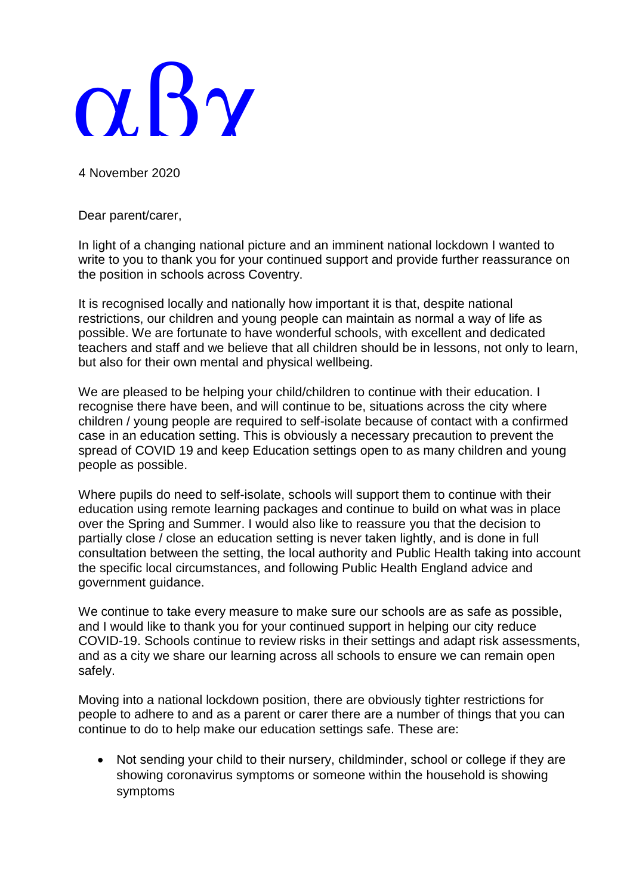## $\alpha$ . By

4 November 2020

Dear parent/carer,

In light of a changing national picture and an imminent national lockdown I wanted to write to you to thank you for your continued support and provide further reassurance on the position in schools across Coventry.

It is recognised locally and nationally how important it is that, despite national restrictions, our children and young people can maintain as normal a way of life as possible. We are fortunate to have wonderful schools, with excellent and dedicated teachers and staff and we believe that all children should be in lessons, not only to learn, but also for their own mental and physical wellbeing.

We are pleased to be helping your child/children to continue with their education. I recognise there have been, and will continue to be, situations across the city where children / young people are required to self-isolate because of contact with a confirmed case in an education setting. This is obviously a necessary precaution to prevent the spread of COVID 19 and keep Education settings open to as many children and young people as possible.

Where pupils do need to self-isolate, schools will support them to continue with their education using remote learning packages and continue to build on what was in place over the Spring and Summer. I would also like to reassure you that the decision to partially close / close an education setting is never taken lightly, and is done in full consultation between the setting, the local authority and Public Health taking into account the specific local circumstances, and following Public Health England advice and government guidance.

We continue to take every measure to make sure our schools are as safe as possible, and I would like to thank you for your continued support in helping our city reduce COVID-19. Schools continue to review risks in their settings and adapt risk assessments, and as a city we share our learning across all schools to ensure we can remain open safely.

Moving into a national lockdown position, there are obviously tighter restrictions for people to adhere to and as a parent or carer there are a number of things that you can continue to do to help make our education settings safe. These are:

• Not sending your child to their nursery, childminder, school or college if they are showing coronavirus symptoms or someone within the household is showing symptoms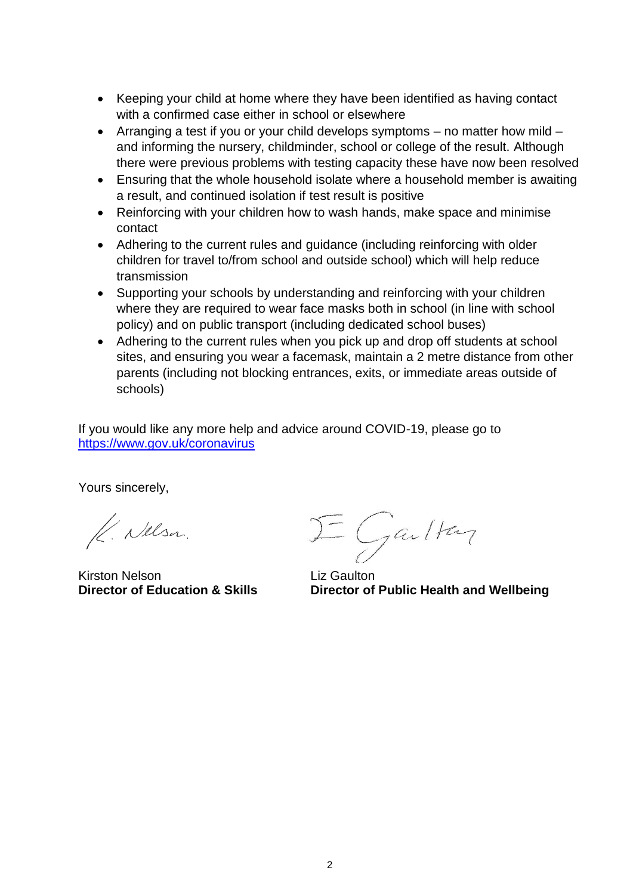- Keeping your child at home where they have been identified as having contact with a confirmed case either in school or elsewhere
- Arranging a test if you or your child develops symptoms no matter how mild and informing the nursery, childminder, school or college of the result. Although there were previous problems with testing capacity these have now been resolved
- Ensuring that the whole household isolate where a household member is awaiting a result, and continued isolation if test result is positive
- Reinforcing with your children how to wash hands, make space and minimise contact
- Adhering to the current rules and guidance (including reinforcing with older children for travel to/from school and outside school) which will help reduce transmission
- Supporting your schools by understanding and reinforcing with your children where they are required to wear face masks both in school (in line with school policy) and on public transport (including dedicated school buses)
- Adhering to the current rules when you pick up and drop off students at school sites, and ensuring you wear a facemask, maintain a 2 metre distance from other parents (including not blocking entrances, exits, or immediate areas outside of schools)

If you would like any more help and advice around COVID-19, please go to <https://www.gov.uk/coronavirus>

Yours sincerely,

K. Nelsa.

Kirston Nelson **Liz Gaulton**<br> **Director of Education & Skills Liz Gaulton** 

I Gailton

**Director of Public Health and Wellbeing**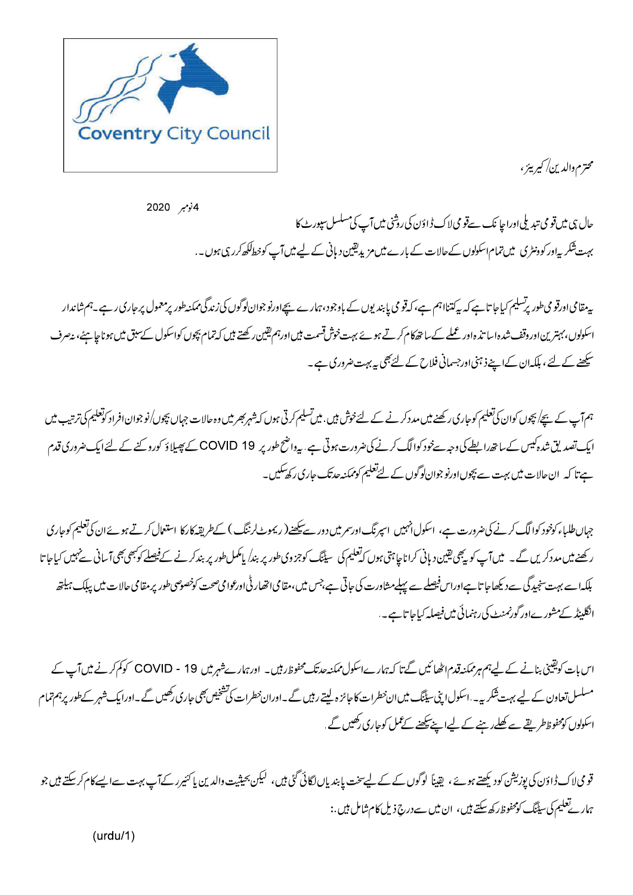

محترم والدين/ كيرييز ،

4نومبر 2020 حال ہی میں قومی تبدیلی اوراجا نک سےقومی لاک ڈاؤن کی روشی میں آپ کی مسلسل سپورٹ کا بہت شکر یہ اور کوونٹری میں تمام اسکولوں کےحالات کے بارےمیں مزیدیقین دیانی کے لیے میں آپ کوخطاککھ کررہی ہوں۔

پیدھامیاورقومی طور پرسلیم کیاجا تاہے کہ پہ کتنااہم ہے،کہ قومی پابندیوں کے باوجود،ہمارے بیچاورنوجوان کی زندگی ممکنہ طور پرمعمول پر جاری رہے۔ہم شاندار اسکولوں، بہترین اور دقف شدہ اسا تذ ہ اور عملے کے ساتھ کام کرتے ہوئے بہت خوش قسمت ہیں اورہم یقین رکھتے ہیں کہ تباق کے لیک میں ہونا چاہئے، پیصرف سکھنے کے لئے ، بلکہان کےاپنے ذہنی اورجسمانی فلاح کے لئے بھی یہ بہت ضروری ہے ۔

ہم آپ کے بچے/ پچوں کوان کی تعلیم کوجاری رکھنے میں مدد کرنے کے لئےخوش ہیں. میں تسلیم کرتی ہوں کہ وہ دارا نو جہاں بچوں/نو جوان افراد کوتعلیم کی ترتیب میں ایک تصدیق شدہ کیس کے ساتھ رابطے کی وجہ سےخود کوالگ کرنے کی ضرورت ہوتی ہے .پیرواضح طور پر COVID 19 کے پھیلاؤ کورو کنے کے لئے ایک ضروری قدم ہے تا کہ ان حالات میں بہت سے بچوں اورنو جوان لوگوں کے لئےتعلیم کوممکنہ حدتک جاری رکھ سکیں۔

جہاںطلباء کوخود کوالگ کرنے کی ضرورت ہے، اسکول انہیں اسپرنگ اورسم میں دور سے پکھنے( ریموٹ لرننگ ) کےطریقہ کارکا استعمال کرتے ہوئے ان کی تعلیم کوجاری رکھنے میں مددکریں گے۔ میں آپ کو یہ پھی یقین دہانی کراناجاہتی ہوں کہ تعلیم کی سیننگ کوچڑدوی طور پر ایک سال پر محلے کی تھیں کے شہیں کیاجا تا بلکہا سے بہت سنجیدگی سے دیکھاجا تاہےاوراس فیصلے سے پہلےمشاورت کی جاتی ہے،جس میں،مقامی اتھار ٹی اورعوامی صحت کوخصوصی طور پرمقامی حالات میں پبلک ہیلتھ انگلینڈ کےمشور ےاور گورنمنٹ کی رہنمائی میں فیصلہ کیاجا تاہے۔.

اس بات کویقینی بنانے کے لیےہم ہر ممکنہ قدم اٹھائیں گتا کہ ہمارےاسکول ممکنہ حد تک محفوظ رہیں۔ اورہمارےشہر میں 19 - COVID کوکم کرنے میں آپ کے مسلسل تعاون کے لیے بہت شکریہ۔ اسکول اپنی سیٹنگ میں ان خطرات کا جائز ہ لیتے رہیں گے ۔اوران خطرات کی تشخیص بھی جاری رکھیں گے ۔اوراپک شہر کے طور پرہم تمام اسکولوں کومحفوظ طریقے سے کھلے رہنے کے لیےاپنے پیکھنے کے عمل کوجاری رکھیں گے .

قو می لاک ڈاؤن کی پوزیشن کود یکھتے ہوئے ، یقیناً لوگوں کے لیےسخت پابندیاں لگائی گئی ہیں، لیکن یحیثیت والدین یا کئیرر کے آپ بہت سےایسے کام کرسکتے ہیں جو ہمار تعلیم کی سیٹنگ کومحفوظ رکھ سکتے ہیں، ان میں سے درج ذیل کام شامل ہیں :

 $(urdu/1)$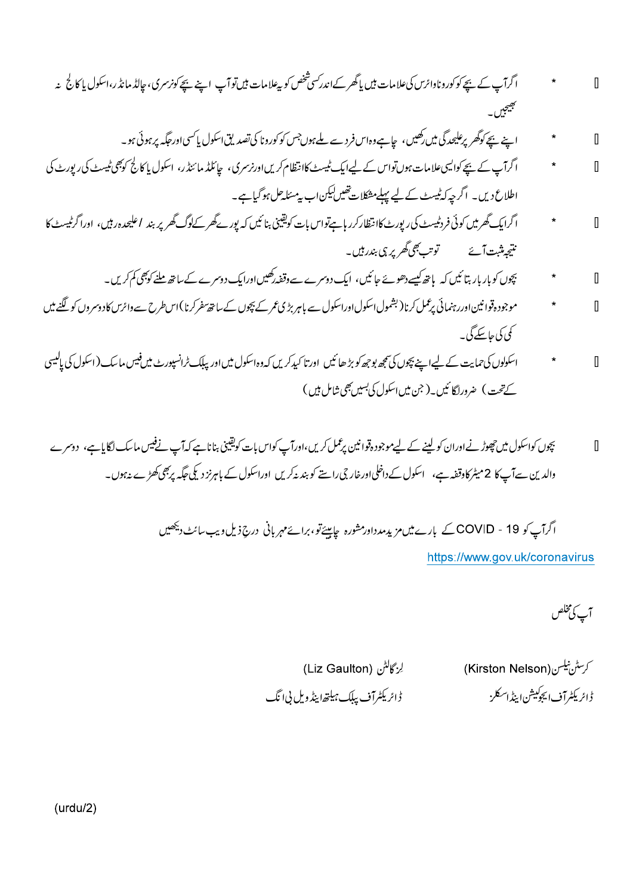- ۔<br>اگرآپ کے بیچے کوکورونادائرس کی علامات بیں پاگھر کےاندرکسی شخص کو بیعلامات بیںتو آپ اپنے بیچے کونرسری، جالڈ مانڈر،اسکول پاکا لج نہ  $\overline{\mathbb{I}}$ *کھیجیں*<br>سیمبریہ
	- اپنے بچے کوگھر پر علیحدگی میں رکھیں، جاہے دہاس فرد سے ملے ہوں جس کو کورونا کی تصدیق اسکول پاکسی اور جگہ پر ہوئی ہو۔  $\sqrt{2}$
- اگرآپ کے بیچے کوایسی علامات ہوں تواس کے لیےایک ٹیسٹ کاانتظام کریں اورنرسری، چائلڈ مائنڈر، اسکول پا کالج کوچی ٹیسٹ کی رپورٹ کی  $\sqrt{2}$ اطلاع دیں۔ اگرچہ کہ ٹیسٹ کے لیے پہلے مشکلات تھیں لیکن اب پر مسئلہ حل ہو گیاہے۔
- اگرایک گھرمیں کوئی فردٹیسٹ کی رپورٹ کاانتظارکرر ہاہےتواس بات کویقینی بنائیں کہ پور کے گھر کےلوگ گھر پر بند اعلیحدہ ربیں، اورا گرٹیسٹ کا  $\overline{\mathbb{I}}$ نتیجیٹنت آئے ۔۔۔ توت بھی گھریر ہی بندر ہیں۔
	- بچوں کو بار بار بتا ئیں کہ ہاتھ کیسے دھوئے جائیں، ایک دوسرے سے وقفہ رکھیں اورایک دوسرے کے ساتھ ملنے کوچی کم کریں۔  $\star$  $\sqrt{2}$
- موجودہ قوانین اوررہنمائی پرعمل کرنا( بشمول اسکول اوراسکول سے باہر بڑی عمر کے بچوں کے ساتھ مفرکرنا )اس طرح سے وائرس کادوسروں کو لگنے میں  $\overline{\Pi}$ کمی کی جا سکے گی۔
- اسکولوں کی حمایت کے لیےاپنے بچوں کی سمجھ بوجھ کو بڑ ھائیں اورتا کیدکریں کہ وہ اسکول میں اور بیلک ٹرانسپورٹ میں فیس ماسک (اسکول کی پالیسی  $\sqrt{2}$ کےتحت) ضروراگائیں ( جن میں اسکول کی بسیں بھی شامل ہیں )
- بچوں کواسکول میں حچوڑ نےاوران کو لینے کے لیےموجودہ قوانین پڑممل کریں،اورآپ کواس بات کویقینی بناناہے کہ آپ نےفیس ماسک لگایا ہے، دوسرے  $\overline{\mathbb{I}}$ والدین سےآپ کا 2میٹر کاوقفہ ہے، اسکول کے داخلیااورغار جی راستے کو ہند یہ کریں اوراسکول کے باہرنز دیکی جگہ پرجی کھڑے یہوں۔

اگرآپ کو COVID - 19 کے بارے میں مزید مدداور مشورہ حامیئے تو، برائے مہربانی درج ذیل ویب سائٹ دیکھیں https://www.gov.uk/coronavirus

آپ کی مخلص

كرسٹن نیکسن(Kirston Nelson) ڑائریکٹرآف ایجوکیشن ایٹداسکلز

لِرْكَاكِنُ (Liz Gaulton) ڑائریکٹرآف بیلک ہیلتھا ینڈ ویل پی انگ

 $(urdu/2)$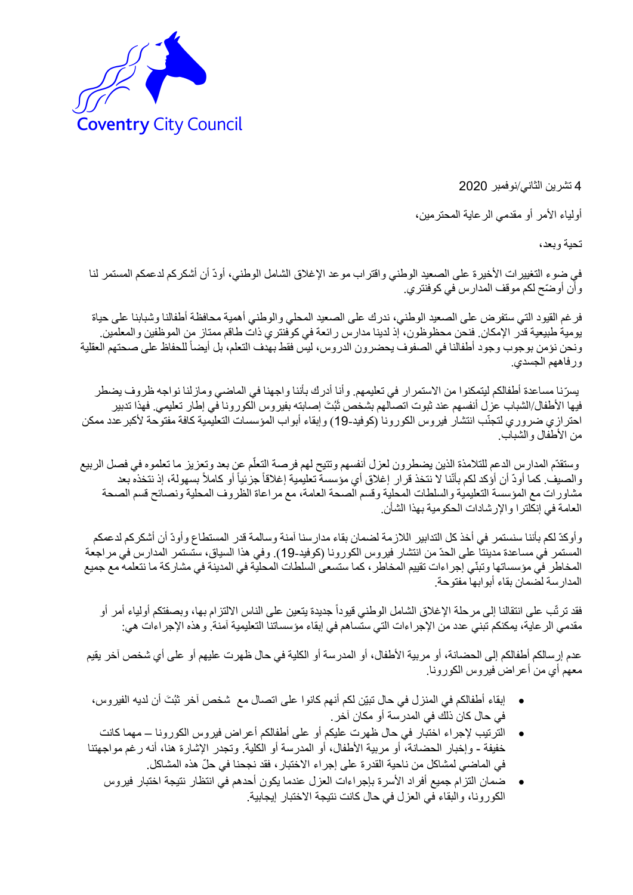

4 تشرين الثاني/نوفمبر 2020

أولياء الأمر أو مقدمي الرعاية المحترمين،

تحية وبعد،

في ضوء التغييرات األخيرة على الصعيد الوطني واقتراب موعد اإلغالق الشامل الوطني، أودّ أن أشكركم لدعمكم المستمر لنا وأن أوضّح لكم موقف المدارس في كوفنتري.

فرغم القيود التي ستفرض على الصعيد الوطني، ندرك على الصعيد المحلي والوطني أهمية محافظة أطفالنا وشبابنا على حياة يومية طبيعية قدر اإلمكان. فنحن محظوظون، إذ لدينا مدارس رائعة في كوفنتري ذات طاقم ممتاز من الموظفين والمعلمين. ونحن نؤمن بوجوب وجود أطفالنا في الصفوف يحضرون الدروس، ليس فقط بهدف التعلم، بل أيضاً للحفاظ على صحتهم العقلية ورفاههم الجسدي.

يس ّرنا مساعدة أطفالكم ليتمكنوا من االستمرار في تعليمهم. وأنا أدرك بأننا واجهنا في الماضي ومازلنا نواجه ظروف يضطر فيها الأطفال/الشباب عزل أنفسهم عند ثبوت اتصالهم بشخص ثَبُتَ إصابته بفيروس الكورونا في إطار تعليمي. فهذا تدبير احترازي ضروري لتجنّب انتشار فيروس الكورونا (كوفيد-19) وإبقاء أبواب المؤسسات التعليمية كافة مفتوحة لأكبر عدد ممكن من الأطفال والشباب.

وستقدّم المدارس الدعم للتلامذة الذين يضطرون لعزل أنفسهم وتتيح لهم فرصة التعلّم عن بعد وتعزيز ما تعلموه في فصل الربيع اً والصيف. كما أودّ أن أؤكد لكم بأنّنا لا نتخذ قرار إغلاق أي مؤسسة تعليمية إغلاقاً جزئياً أو كاملاً بسهولة، إذ نتخذه بعد مشاورات مع المؤسسة التعليمية والسلطات المحلية وقسم الصحة العامة، مع مراعاة الظروف المحلية ونصائح قسم الصحة العامة في إنكلترا واإلرشادات الحكومية بهذا الشأن.

وأوكدّ لكم بأننا سنستمر في أخذ كل التدابير الالزمة لضمان بقاء مدارسنا آمنة وسالمة قدر المستطاع وأودّ أن أشكركم لدعمكم المستمر في مساعدة مدينتا على الحدّ من انتشار فيروس الكورونا (كوفيد-19). وفي هذا السياق، ستستمر المدارس في مراجعة المخاطر في مؤسساتها وتبنّي إجراءات تقييم المخاطر، كما ستسعى السلطات المحلية في المدينة في مشاركة ما نتعلمه مع جميع المدارسة لضمان بقاء أبوابها مفتوحة.

فقد ترتّب على انتقالنا إلى مرحلة اإلغالق الشامل الوطني قيوداً جديدة يتعين على الناس االلتزام بها، وبصفتكم أولياء أمر أو مقدمي الرعاية، يمكنكم تبني عدد من اإلجراءات التي ستساهم في إبقاء مؤسساتنا التعليمية آمنة. وهذه اإلجراءات هي:

عدم إرسالكم أطفالكم إلى الحضانة، أو مربية األطفال، أو المدرسة أو الكلية في حال ظهرت عليهم أو على أي شخص آخر يقيم معهم أي من أعراض فيروس الكورونا.

- إبقاء أطفالكم في المنزل في حال تبيّن لكم أنهم كانوا على اتصـال مع شخص آخر ثبُتَ أن لديه الفيروس، في حال كان ذلك في المدرسة أو مكان آخر.
- الترتيب إلجراء اختبار في حال ظهرت عليكم أو على أطفالكم أعراض فيروس الكورونا مهما كانت خفيفة - وإخبار الحضانة، أو مربية الأطفال، أو المدرسة أو الكلية. وتجدر الإشارة هنا، أنه رغم مواجهتنا في الماضي لمشاكل من ناحية القدرة على إجراء االختبار، فقد نجحنا في ح ّل هذه المشاكل.
	- ضمان التزام جميع أفراد األسرة بإجراءات العزل عندما يكون أحدهم في انتظار نتيجة اختبار فيروس الكورونا، والبقاء في العزل في حال كانت نتيجة االختبار إيجابية.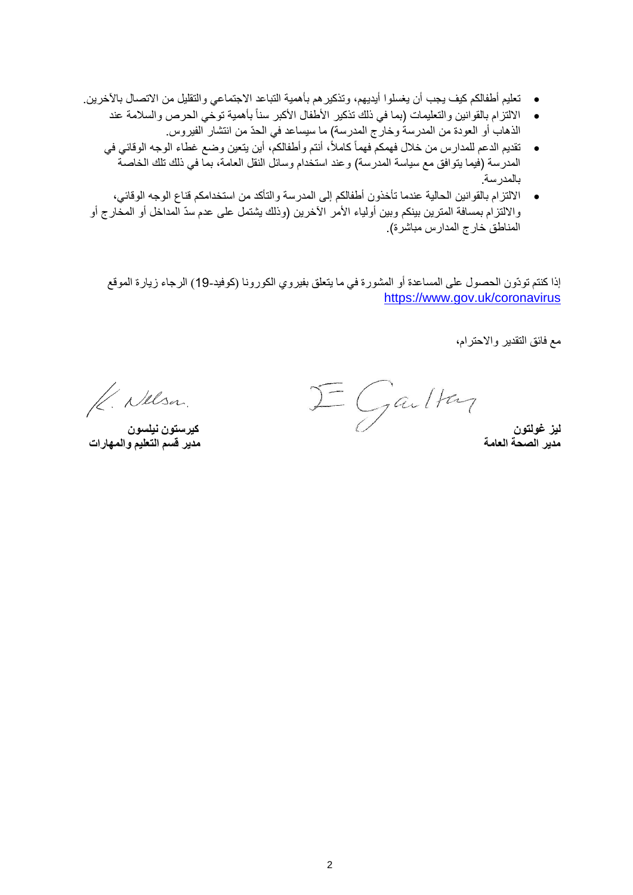- تعليم أطفالكم كيف يجب أن يغسلوا أيديهم، وتذكيرهم بأهمية التباعد االجتماعي والتقليل من االتصال باآلخرين.
	- الالتزام بالقوانين والتعليمات (بما في ذلك تذكير الأطفال الأكبر سنأ بأهمية توخي الحرص والسلامة عند الذهاب أو العودة من المدرسة وخارج المدرسة) ما سيساعد في الحدّ من انتشار الفيروس.
	- تقديم الدعم للمدارس من خالل فهمكم فهماً كامال،ً أنتم وأطفالكم، أين يتعين وضع غطاء الوجه الوقائي في المدرسة (فيما يتوافق مع سياسة المدرسة) وعند استخدام وسائل النقل العامة، بما في ذلك تلك الخاصة بالمدرسة.
- االلتزام بالقوانين الحالية عندما تأخذون أطفالكم إلى المدرسة والتأكد من استخدامكم قناع الوجه الوقائي، والالتزام بمسافة المترين بينكم وبين أولياء الأمر الأخرين (وذلك يشتمل على عدم سدّ المداخل أو المخارج أو المناطق خارج المدارس مباشرة).

إذا كنتم تودّون الحصول على المساعدة أو المشورة في ما يتعلق بفيروي الكورونا )كوفيد19-( الرجاء زيارة الموقع <https://www.gov.uk/coronavirus>

مع فائق التقدير واالحترام،

**ليز غولتون كيرستون نيلسون**

K. Nelsa.

<mark>كيرستون نيلسون</mark><br>مدير قسم التعليم والمهارات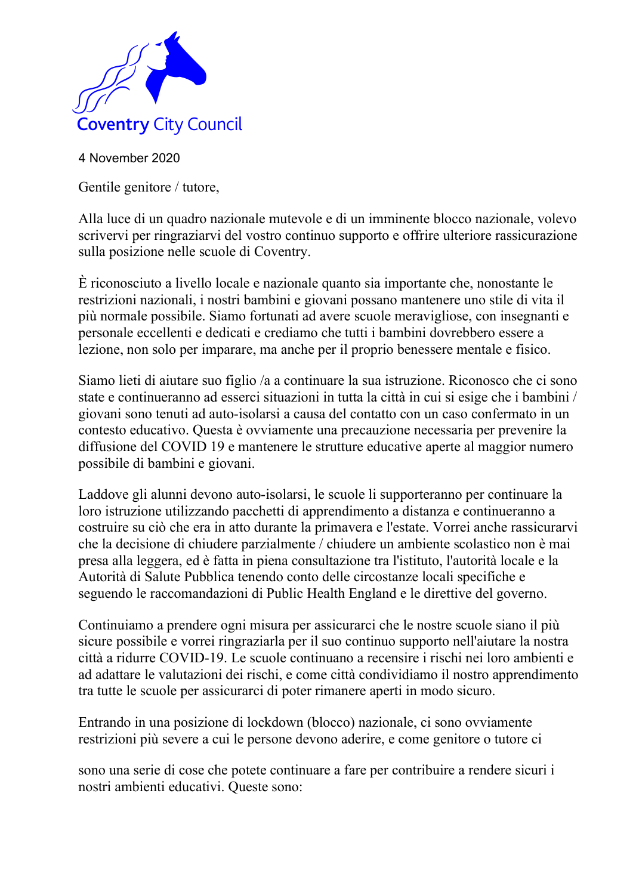

Gentile genitore / tutore,

Alla luce di un quadro nazionale mutevole e di un imminente blocco nazionale, volevo scrivervi per ringraziarvi del vostro continuo supporto e offrire ulteriore rassicurazione sulla posizione nelle scuole di Coventry.

È riconosciuto a livello locale e nazionale quanto sia importante che, nonostante le restrizioni nazionali, i nostri bambini e giovani possano mantenere uno stile di vita il più normale possibile. Siamo fortunati ad avere scuole meravigliose, con insegnanti e personale eccellenti e dedicati e crediamo che tutti i bambini dovrebbero essere a lezione, non solo per imparare, ma anche per il proprio benessere mentale e fisico.

Siamo lieti di aiutare suo figlio /a a continuare la sua istruzione. Riconosco che ci sono state e continueranno ad esserci situazioni in tutta la città in cui si esige che i bambini / giovani sono tenuti ad auto-isolarsi a causa del contatto con un caso confermato in un contesto educativo. Questa è ovviamente una precauzione necessaria per prevenire la diffusione del COVID 19 e mantenere le strutture educative aperte al maggior numero possibile di bambini e giovani.

Laddove gli alunni devono auto-isolarsi, le scuole li supporteranno per continuare la loro istruzione utilizzando pacchetti di apprendimento a distanza e continueranno a costruire su ciò che era in atto durante la primavera e l'estate. Vorrei anche rassicurarvi che la decisione di chiudere parzialmente / chiudere un ambiente scolastico non è mai presa alla leggera, ed è fatta in piena consultazione tra l'istituto, l'autorità locale e la Autorità di Salute Pubblica tenendo conto delle circostanze locali specifiche e seguendo le raccomandazioni di Public Health England e le direttive del governo.

Continuiamo a prendere ogni misura per assicurarci che le nostre scuole siano il più sicure possibile e vorrei ringraziarla per il suo continuo supporto nell'aiutare la nostra città a ridurre COVID-19. Le scuole continuano a recensire i rischi nei loro ambienti e ad adattare le valutazioni dei rischi, e come città condividiamo il nostro apprendimento tra tutte le scuole per assicurarci di poter rimanere aperti in modo sicuro.

Entrando in una posizione di lockdown (blocco) nazionale, ci sono ovviamente restrizioni più severe a cui le persone devono aderire, e come genitore o tutore ci

sono una serie di cose che potete continuare a fare per contribuire a rendere sicuri i nostri ambienti educativi. Queste sono: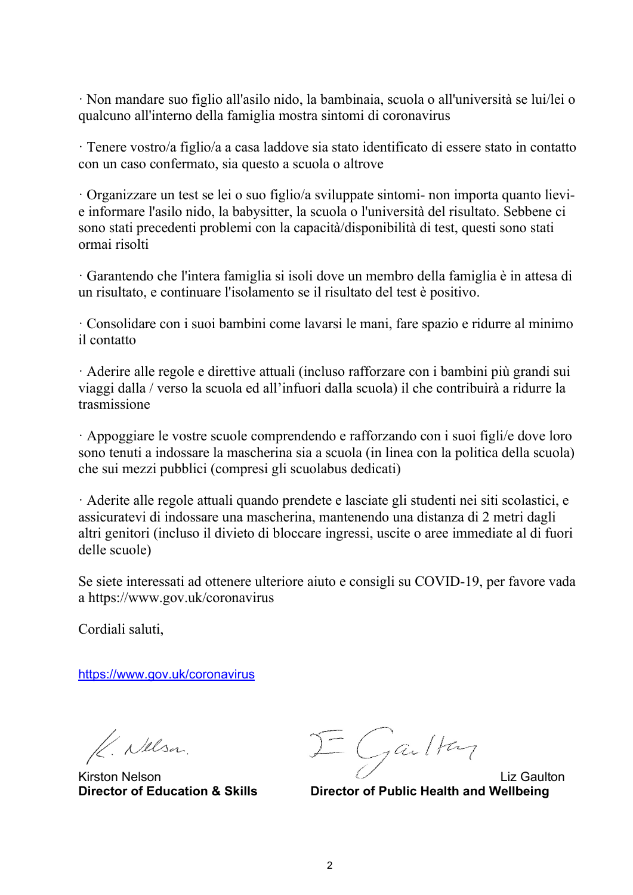· Non mandare suo figlio all'asilo nido, la bambinaia, scuola o all'università se lui/lei o qualcuno all'interno della famiglia mostra sintomi di coronavirus

· Tenere vostro/a figlio/a a casa laddove sia stato identificato di essere stato in contatto con un caso confermato, sia questo a scuola o altrove

· Organizzare un test se lei o suo figlio/a sviluppate sintomi- non importa quanto lievie informare l'asilo nido, la babysitter, la scuola o l'università del risultato. Sebbene ci sono stati precedenti problemi con la capacità/disponibilità di test, questi sono stati ormai risolti

· Garantendo che l'intera famiglia si isoli dove un membro della famiglia è in attesa di un risultato, e continuare l'isolamento se il risultato del test è positivo.

· Consolidare con i suoi bambini come lavarsi le mani, fare spazio e ridurre al minimo il contatto

· Aderire alle regole e direttive attuali (incluso rafforzare con i bambini più grandi sui viaggi dalla / verso la scuola ed all'infuori dalla scuola) il che contribuirà a ridurre la trasmissione

· Appoggiare le vostre scuole comprendendo e rafforzando con i suoi figli/e dove loro sono tenuti a indossare la mascherina sia a scuola (in linea con la politica della scuola) che sui mezzi pubblici (compresi gli scuolabus dedicati)

· Aderite alle regole attuali quando prendete e lasciate gli studenti nei siti scolastici, e assicuratevi di indossare una mascherina, mantenendo una distanza di 2 metri dagli altri genitori (incluso il divieto di bloccare ingressi, uscite o aree immediate al di fuori delle scuole)

Se siete interessati ad ottenere ulteriore aiuto e consigli su COVID-19, per favore vada a https://www.gov.uk/coronavirus

Cordiali saluti,

https://www.gov.uk/coronavirus

K. Nelsa.

 $K$ . Nelson  $\mathcal{I} = \int a \sqrt{a} \sqrt{b^2+a^2}$ 

**Director of Education & Skills Director of Public Health and Wellbeing**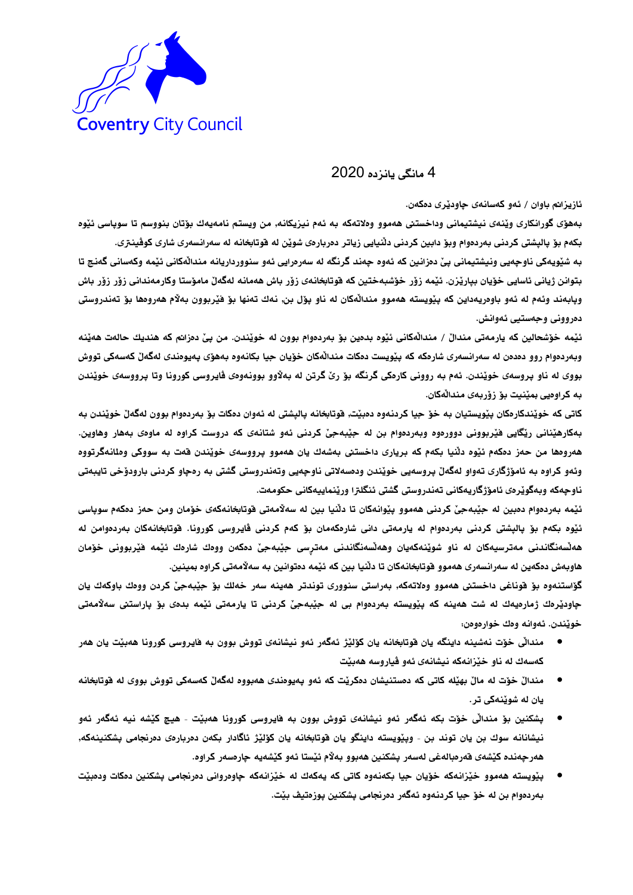

4 مانگی یانزده 2020

ئازيزانم باوان / ئەو كەسانەي جاوديرى دەكەن.

بههۆی گورانكاری وێنهی نیشتیمانی وداخستنی ههموو وهلاتهكه به ئمم نیزیكانه, من ویستم نامهیهك بۆتان بنووسم تا سوپاسی ئێوه بکهم بو پالپشتی کردنی بهردهوام وبو دابین کردنی دلّنیایی زیاتر دمربارهی شویّن له قوتابخانه له سهرانسهری شاری کوفینتری. به شێویهکی ناوچهیی ونیشتیمانی پیّ دەزانین که ئەوه چەند گرنگه له سەرەرایی ئەو سنوورداریانه مندالْهکانی ئێمه وکەسانی گەنج تا

بتوانن ژيانى ئاسايى خۆيان بپارێزن. ئێمه زۆر خۆشبەختين كه قوتابخانەى زۆر باش هەمانە لەگەلّ مامۆستا وكارمەندانى زۆر زۆر باش وپابەند وئەم لە ئەو باوەريەداين كە پێويستە ھەموو منداڵەكان لە ناو پۆل بن, نەك تەنھا بۆ فێربوون بەلام ھەروەھا بۆ تەندروستى دەروونى وجەستيى ئەوانش.

ئيّمه خوّشحالين كه يارمەتى مندالْ / مندالْهكانى ئيّوه بدەين بوّ بەردەوام بوون له خويّندن. من بيّ دەزانم كه هنديك حالەت هەيّنه وبەردەوام روو دەدەن له سەرانسەرى شارەكە كە يێويست دەكات مندالەكان خۆيان جيا بكانەوە بەھۆى پەيوەندى لەگەلْ كەسەكى تووش بووي له ناو پروسهي خوێندن. ئمم به رووني كارمكي گرنگه بۆ رێ گرتن له بهلاوو بوونهوهي ڤايروسي كورونا وتا پرووسهي خوێندن به كراوەيي بمێنيت بۆ زۆربەي منداللەكان.

كاتي كه خويّندكارمكان بِيْويستيان به خوّ جيا كردنهوه دهبيّت, فوتابخانه باليشتي له ئهوان دمكات بوّ بهردهوام بوون لهگهلّ خويّندن به بهکارهێنانی رێگایی فێربوونی دووردوه وبەرددوام بن له جێبهجێ کردنی ئەو شتانەی که دروست کراود له ماودی بههار وهاوین ههروهها من حمز دمكهم ئيّوه دلّنيا بكهم كه بريارى داخستنى بهشهك يان ههموو پرووسهى خويّندن قهت به سووكى وملانهگرتووه وئمو کراوه به ئامۆژگاری تەواو لەگەلّ پروسەيي خويندن ودەسەلاتي ناوجەيي وتەندروستي گشتي به رەجاو کردني بارودۆخي تايبەتي ناوچەكە وبەگوێرەى ئامۆژگاريەكانى تەندروستى گشتى ئنگلترا ورێنماييەكانى حكومەت.

ئيمه بەردەوام دەبين له حێبەجیٚ کردنی ھەموو پێوانەکان تا دڵنيا بين له سەلاّمەتى فوتابخانەکەی خۆمان ومن حەز دەکەم سوپاسى ئيوه بكهم بوّ پالپشتى كردنى بەردەوام له يارمەتى دانى شارەكەمان بوّ كەم كردنى ڤايروسى كورونا. فوتابخانەكان بەردەوامن له هەنسەنگاندنى مەترسيەكان لە ناو شوێنەكەيان وھەنسەنگاندنى مەترسى جێبەجێ دەكەن ووەك شارەك ئێمە ڧێربوونى خۆمان هاوبهش دهكهين له سهرانسهري ههموو فوتابخانهكان تا دلّنيا بين كه ئيّمه دهتوانين به سهلاّمهتي كراوه بمينين.

گۆاستنەوه بۆ قوناغى داخستنى ھەموو وەلاتەكە, بەراستى سنوورى توندتر ھەينە سەر خەلك بۆ جێبەجێ كردن ووەك باوكەك يان جاودێرهك ژمارهيهك له شت هەينه كە يێويسته بەردەوام بى له جێبەجێ كردنى تا يارمەتى ئێمە بدەى بۆ ياراستنى سەلاّمەتى خويندن. ئەوانە وەك خوارەوەن:

- مندالی خوّت نهشینه داینگه یان فوتابخانه یان کوّلیّژ ئهگهر ئهو نیشانهی تووش بوون به فایروسی کورونا ههبیّت یان ههر كەسەك لە ناو خێزانەكە نيشانەى ئەو ڧياروسە ھەبێت
- مندالٌ خوّت له مالٌ بهيّله كاتي كه دمستنيشان دمكريّت كه ئهو بهيومندي ههبووه لهگهلٌ كهسهكي تووش بووي له فوتابخانه يان له شوێنهکي تر .
- بشکنین بوّ مندالّی خوّت بکه ئهگهر ئهو نیشانهی تووش بوون به فایروسی کورونا ههبیّت هیچ کیّشه نیه ئهگهر ئهو نيشانانه سوك بن يان توند بن - وپێويسته داينگو يان فوتابخانه يان كۆلێژ ئاگادار بكەن دەربارەى دەرنجامى پشكنينهكه, هەرچەندە كێشەى قەرەبالەغى لەسەر پشكنين ھەبوو بەلام ئێستا ئەو كێشەيە چارەسەر كراوە.
- يێويسته ههموو خێزانهكه خۆيان جيا بكهنهوه كاتي كه يهكهك له خێزانهكه جاومرواني دمرنجامي يشكنين دمكات ودميێت بەردەوام بن له خۆ جيا كردنەوه ئەگەر دەرنجامى پشكنين پوزەتيڤ بێت.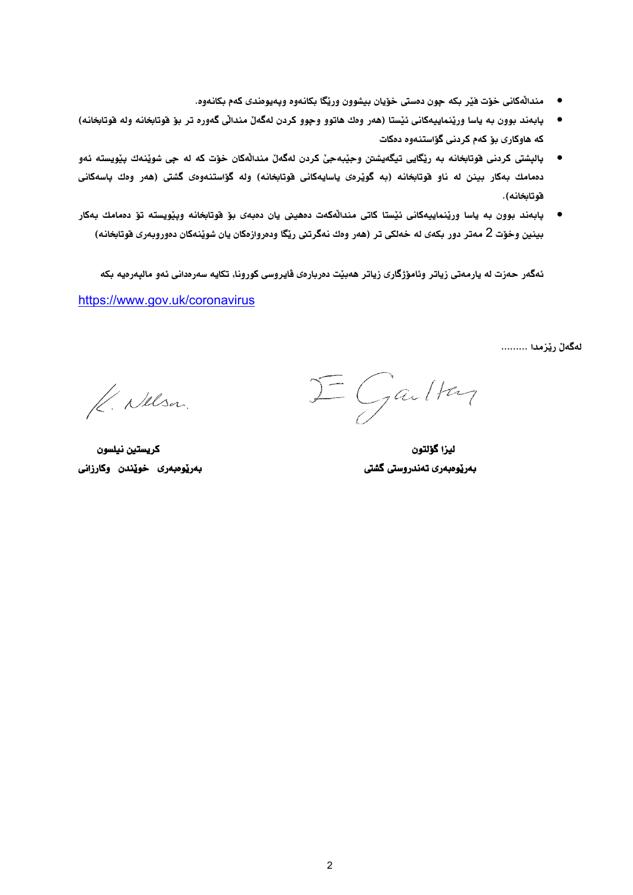- مندالْهكاني خوّت فيْر بكه جون دمستي خوّيان بيشوون وريّكا بكانهوه ويهيومندي كهم بكانهوه.
- پابهند بوون به ياسا وريّنماييهكاني ئيّستا (هەر وەك هاتوو وچوو كردن لهگەلّ مندالّي گەورە تر بۆ فوتابخانه وله فوتابخانه) كه هاوكارى بۆ كەم كردنى گۆاستنەوە دەكات
- پالپشتی کردنی فوتابخانه به ریّگایی تیگهیشتن وحٖیٚبهحیٰ کردن لهگهلْ مندالْهکان خوّت که له حِی شویْنهك بیْویسته ئهو دهمامك بهكار بينن له ناو فوتابخانه (به گويْرهى ياسايهكانى فوتابخانه) وله گۆاستنهوهى گشتى (هەر وەك پاسهكانى قوتابخانه).
- پابەند بوون به ياسا ورێنماييەكانى ئێستا كاتى منداڵەكەت دەھينى يان دەبەى بۆ فوتابخانە ويێويستە تۆ دەمامك بەكار بينين وخوّت 2 مەتر دور بكەي لە خەلكى تر (ھەر وەك نەگرتنى ريّگا ودەروازەكان يان شويننەكان دەوروبەرى قوتابخانە)

ئهگەر حەزت له يارمەتى زياتر وئامۆژگارى زياتر ھەبيّت دەربارەي ڤايروسى كورونا, تكايه سەرەدانى ئەو ماليەرەيە بكە

https://www.gov.uk/coronavirus

لەگەلْ ريْزمدا .........

 $\Sigma$  Garlton

K. Nelsa.

الميزا كوّلتون مستقرر المستقرر المستقرر المستقرر المستقرر المستقرر المستقرر المستقرر المستقرر المستقرر المستقر<br>المستقرر المستقرر المستقرر المستقرر المستقرر المستقرر المستقرر المستقرر المستقرر المستقرر المستقرر المستقرر ال رزامو نَ ريةَر ط روم ريةَر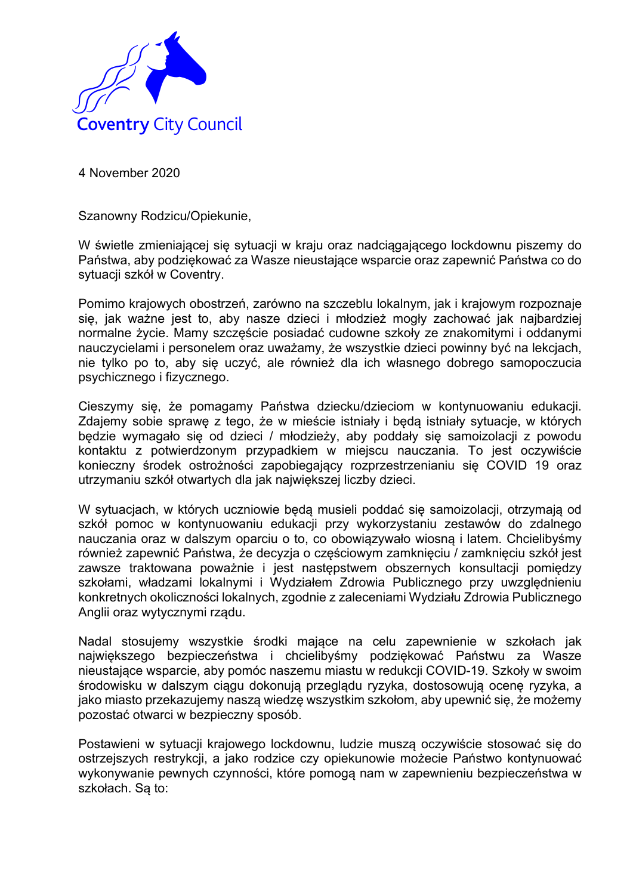

Szanowny Rodzicu/Opiekunie,

W świetle zmieniającej się sytuacji w kraju oraz nadciągającego lockdownu piszemy do Państwa, aby podziękować za Wasze nieustające wsparcie oraz zapewnić Państwa co do sytuacji szkół w Coventry.

Pomimo krajowych obostrzeń, zarówno na szczeblu lokalnym, jak i krajowym rozpoznaje się, jak ważne jest to, aby nasze dzieci i młodzież mogły zachować jak najbardziej normalne życie. Mamy szczęście posiadać cudowne szkoły ze znakomitymi i oddanymi nauczycielami i personelem oraz uważamy, że wszystkie dzieci powinny być na lekcjach, nie tylko po to, aby się uczyć, ale również dla ich własnego dobrego samopoczucia psychicznego i fizycznego.

Cieszymy się, że pomagamy Państwa dziecku/dzieciom w kontynuowaniu edukacji. Zdajemy sobie sprawę z tego, że w mieście istniały i będą istniały sytuacje, w których będzie wymagało się od dzieci / młodzieży, aby poddały się samoizolacji z powodu kontaktu z potwierdzonym przypadkiem w miejscu nauczania. To jest oczywiście konieczny środek ostrożności zapobiegający rozprzestrzenianiu się COVID 19 oraz utrzymaniu szkół otwartych dla jak największej liczby dzieci.

W sytuacjach, w których uczniowie będą musieli poddać się samoizolacji, otrzymają od szkół pomoc w kontynuowaniu edukacji przy wykorzystaniu zestawów do zdalnego nauczania oraz w dalszym oparciu o to, co obowiązywało wiosną i latem. Chcielibyśmy również zapewnić Państwa, że decyzja o częściowym zamknięciu / zamknięciu szkół jest zawsze traktowana poważnie i jest następstwem obszernych konsultacji pomiędzy szkołami, władzami lokalnymi i Wydziałem Zdrowia Publicznego przy uwzględnieniu konkretnych okoliczności lokalnych, zgodnie z zaleceniami Wydziału Zdrowia Publicznego Anglii oraz wytycznymi rządu.

Nadal stosujemy wszystkie środki mające na celu zapewnienie w szkołach jak największego bezpieczeństwa i chcielibyśmy podziękować Państwu za Wasze nieustające wsparcie, aby pomóc naszemu miastu w redukcji COVID-19. Szkoły w swoim środowisku w dalszym ciągu dokonują przeglądu ryzyka, dostosowują ocenę ryzyka, a jako miasto przekazujemy naszą wiedzę wszystkim szkołom, aby upewnić się, że możemy pozostać otwarci w bezpieczny sposób.

Postawieni w sytuacji krajowego lockdownu, ludzie muszą oczywiście stosować się do ostrzejszych restrykcji, a jako rodzice czy opiekunowie możecie Państwo kontynuować wykonywanie pewnych czynności, które pomogą nam w zapewnieniu bezpieczeństwa w szkołach. Sa to: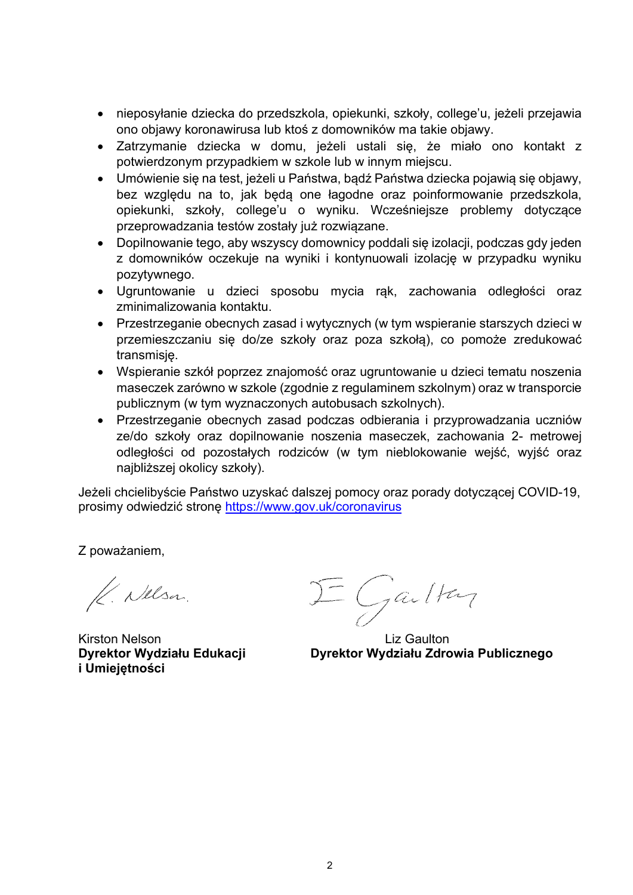- nieposyłanie dziecka do przedszkola, opiekunki, szkoły, college'u, jeżeli przejawia ono objawy koronawirusa lub ktoś z domowników ma takie objawy.
- Zatrzymanie dziecka w domu, jeżeli ustali się, że miało ono kontakt z potwierdzonym przypadkiem w szkole lub w innym miejscu.
- Umówienie się na test, jeżeli u Państwa, bądź Państwa dziecka pojawią się objawy, bez względu na to, jak będą one łagodne oraz poinformowanie przedszkola, opiekunki, szkoły, college'u o wyniku. Wcześniejsze problemy dotyczące przeprowadzania testów zostały już rozwiązane.
- Dopilnowanie tego, aby wszyscy domownicy poddali się izolacji, podczas gdy jeden z domowników oczekuje na wyniki i kontynuowali izolację w przypadku wyniku pozytywnego.
- Ugruntowanie u dzieci sposobu mycia rąk, zachowania odległości oraz zminimalizowania kontaktu.
- Przestrzeganie obecnych zasad i wytycznych (w tym wspieranie starszych dzieci w przemieszczaniu się do/ze szkoły oraz poza szkołą), co pomoże zredukować transmisję.
- Wspieranie szkół poprzez znajomość oraz ugruntowanie u dzieci tematu noszenia maseczek zarówno w szkole (zgodnie z regulaminem szkolnym) oraz w transporcie publicznym (w tym wyznaczonych autobusach szkolnych).
- Przestrzeganie obecnych zasad podczas odbierania i przyprowadzania uczniów ze/do szkoły oraz dopilnowanie noszenia maseczek, zachowania 2- metrowej odległości od pozostałych rodziców (w tym nieblokowanie wejść, wyjść oraz najbliższej okolicy szkoły).

Jeżeli chcielibyście Państwo uzyskać dalszej pomocy oraz porady dotyczącej COVID-19, prosimy odwiedzić stronę https://www.gov.uk/coronavirus

Z poważaniem,

K. Nelsa.

Kirston Nelson **Liz Gaulton i Umiejętności**

 $\equiv$  Gailton

**Dyrektor Wydziału Edukacji Dyrektor Wydziału Zdrowia Publicznego**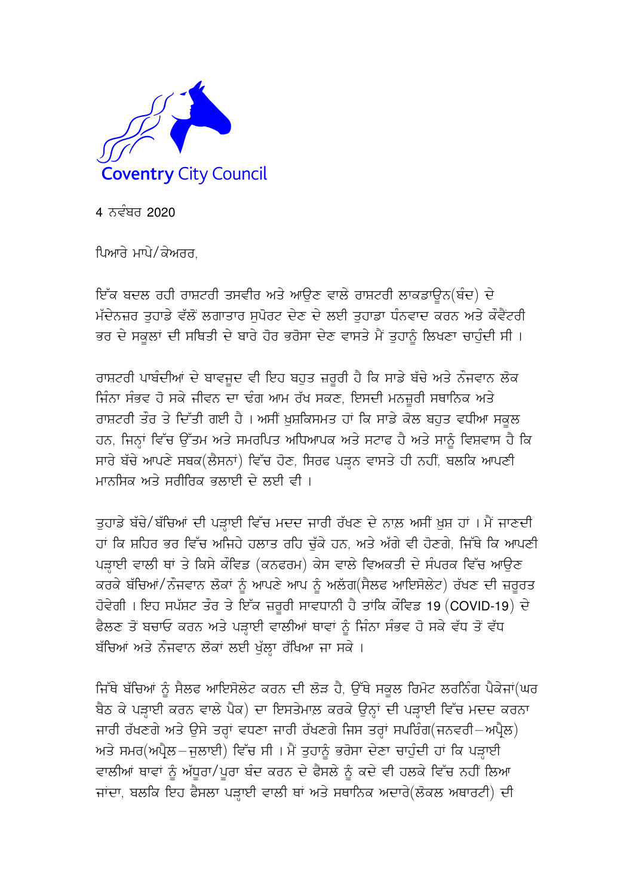

4 ਨਵੰਬਰ 2020

ਪਿਆਰੇ ਮਾਪੇ/ਕੇਅਰਰ.

ਇੱਕ ਬਦਲ ਰਹੀ ਰਾਸ਼ਟਰੀ ਤਸਵੀਰ ਅਤੇ ਆਉਣ ਵਾਲੇ ਰਾਸ਼ਟਰੀ ਲਾਕਡਾਊਨ(ਬੰਦ) ਦੇ ਮੱਦੇਨਜ਼ਰ ਤਹਾਡੇ ਵੱਲੋਂ ਲਗਾਤਾਰ ਸਪੋਰਟ ਦੇਣ ਦੇ ਲਈ ਤਹਾਡਾ ਧੰਨਵਾਦ ਕਰਨ ਅਤੇ ਕੌਵੈਂਟਰੀ ਭਰ ਦੇ ਸਕਲਾਂ ਦੀ ਸਥਿਤੀ ਦੇ ਬਾਰੇ ਹੋਰ ਭਰੋਸਾ ਦੇਣ ਵਾਸਤੇ ਮੈਂ ਤਹਾਨੂੰ ਲਿਖਣਾ ਚਾਹੁੰਦੀ ਸੀ ।

ਰਾਸ਼ਟਰੀ ਪਾਬੰਦੀਆਂ ਦੇ ਬਾਵਜਦ ਵੀ ਇਹ ਬਹੁਤ ਜ਼ਰੂਰੀ ਹੈ ਕਿ ਸਾਡੇ ਬੱਚੇ ਅਤੇ ਨੌਜਵਾਨ ਲੋਕ ਜਿੰਨਾ ਸੰਭਵ ਹੋ ਸਕੇ ਜੀਵਨ ਦਾ ਢੰਗ ਆਮ ਰੱਖ ਸਕਣ, ਇਸਦੀ ਮਨਜ਼ੂਰੀ ਸਥਾਨਿਕ ਅਤੇ ਰਾਸ਼ਟਰੀ ਤੌਰ ਤੇ ਦਿੱਤੀ ਗਈ ਹੈ । ਅਸੀਂ ਖ਼ੁਸ਼ਕਿਸਮਤ ਹਾਂ ਕਿ ਸਾਡੇ ਕੋਲ ਬਹੁਤ ਵਧੀਆ ਸਕੂਲ ਹਨ, ਜਿਨ੍ਹਾਂ ਵਿੱਚ ਉੱਤਮ ਅਤੇ ਸਮਰਪਿਤ ਅਧਿਆਪਕ ਅਤੇ ਸਟਾਫ ਹੈ ਅਤੇ ਸਾਨੂੰ ਵਿਸ਼ਵਾਸ ਹੈ ਕਿ ਸਾਰੇ ਬੱਚੇ ਆਪਣੇ ਸਬਕ(ਲੈਸਨਾਂ) ਵਿੱਚ ਹੋਣ, ਸਿਰਫ ਪੜ੍ਹਨ ਵਾਸਤੇ ਹੀ ਨਹੀਂ, ਬਲਕਿ ਆਪਣੀ ਮਾਨਸਿਕ ਅਤੇ ਸਰੀਰਿਕ ਭਲਾਈ ਦੇ ਲਈ ਵੀ ।

ਤਹਾਡੇ ਬੱਚੇ/ਬੱਚਿਆਂ ਦੀ ਪੜਾਈ ਵਿੱਚ ਮਦਦ ਜਾਰੀ ਰੱਖਣ ਦੇ ਨਾਲ਼ ਅਸੀਂ ਖ਼ੁਸ਼ ਹਾਂ । ਮੈਂ ਜਾਣਦੀ ਹਾਂ ਕਿ ਸ਼ਹਿਰ ਭਰ ਵਿੱਚ ਅਜਿਹੇ ਹਲਾਤ ਰਹਿ ਚੱਕੇ ਹਨ. ਅਤੇ ਅੱਗੇ ਵੀ ਹੋਣਗੇ. ਜਿੱਥੇ ਕਿ ਆਪਣੀ ਪੜ੍ਹਾਈ ਵਾਲੀ ਥਾਂ ਤੇ ਕਿਸੇ ਕੌਵਿਡ (ਕਨਫਰਮ) ਕੇਸ ਵਾਲੇ ਵਿਅਕਤੀ ਦੇ ਸੰਪਰਕ ਵਿੱਚ ਆਉਣ ਕਰਕੇ ਬੱਚਿਆਂ/ਨੌਜਵਾਨ ਲੋਕਾਂ ਨੂੰ ਆਪਣੇ ਆਪ ਨੂੰ ਅਲੱਗ(ਸੈਲਫ ਆਇਸੋਲੇਟ) ਰੱਖਣ ਦੀ ਜ਼ਰੂਰਤ ਹੋਵੇਗੀ । ਇਹ ਸਪੱਸ਼ਟ ਤੌਰ ਤੇ ਇੱਕ ਜ਼ਰੂਰੀ ਸਾਵਧਾਨੀ ਹੈ ਤਾਂਕਿ ਕੌਵਿਡ 19 (COVID-19) ਦੇ ਫੈਲਣ ਤੋਂ ਬਚਾਓ ਕਰਨ ਅਤੇ ਪੜ੍ਹਾਈ ਵਾਲੀਆਂ ਥਾਵਾਂ ਨੂੰ ਜਿੰਨਾ ਸੰਭਵ ਹੋ ਸਕੇ ਵੱਧ ਤੋਂ ਵੱਧ ਬੱਚਿਆਂ ਅਤੇ ਨੌਜਵਾਨ ਲੋਕਾਂ ਲਈ ਖੱਲਾ ਰੱਖਿਆ ਜਾ ਸਕੇ ।

ਜਿੱਥੇ ਬੱਚਿਆਂ ਨੂੰ ਸੈਲਫ ਆਇਸੋਲੇਟ ਕਰਨ ਦੀ ਲੋੜ ਹੈ, ਉੱਥੇ ਸਕੂਲ ਰਿਮੋਟ ਲਰਨਿੰਗ ਪੈਕੇਜਾਂ(ਘਰ ਬੈਠ ਕੇ ਪੜਾਈ ਕਰਨ ਵਾਲੇ ਪੈਕ) ਦਾ ਇਸਤੇਮਾਲ਼ ਕਰਕੇ ਉਨਾਂ ਦੀ ਪੜਾਈ ਵਿੱਚ ਮਦਦ ਕਰਨਾ ਜਾਰੀ ਰੱਖਣਗੇ ਅਤੇ ਉਸੇ ਤਰਾਂ ਵਧਣਾ ਜਾਰੀ ਰੱਖਣਗੇ ਜਿਸ ਤਰਾਂ ਸਪਰਿੰਗ(ਜਨਵਰੀ–ਅਪੈਲ) ਅਤੇ ਸਮਰ(ਅਪੈਲ–ਜਲਾਈ) ਵਿੱਚ ਸੀ । ਮੈਂ ਤਹਾਨੂੰ ਭਰੋਸਾ ਦੇਣਾ ਚਾਹੁੰਦੀ ਹਾਂ ਕਿ ਪੜਾਈ ਵਾਲੀਆਂ ਥਾਵਾਂ ਨੂੰ ਅੱਧੂਰਾ/ਪੂਰਾ ਬੰਦ ਕਰਨ ਦੇ ਫੈਸਲੇ ਨੂੰ ਕਦੇ ਵੀ ਹਲਕੇ ਵਿੱਚ ਨਹੀਂ ਲਿਆ ਜਾਂਦਾ, ਬਲਕਿ ਇਹ ਫੈਸਲਾ ਪੜਾਈ ਵਾਲੀ ਥਾਂ ਅਤੇ ਸਥਾਨਿਕ ਅਦਾਰੇ(ਲੋਕਲ ਅਥਾਰਟੀ) ਦੀ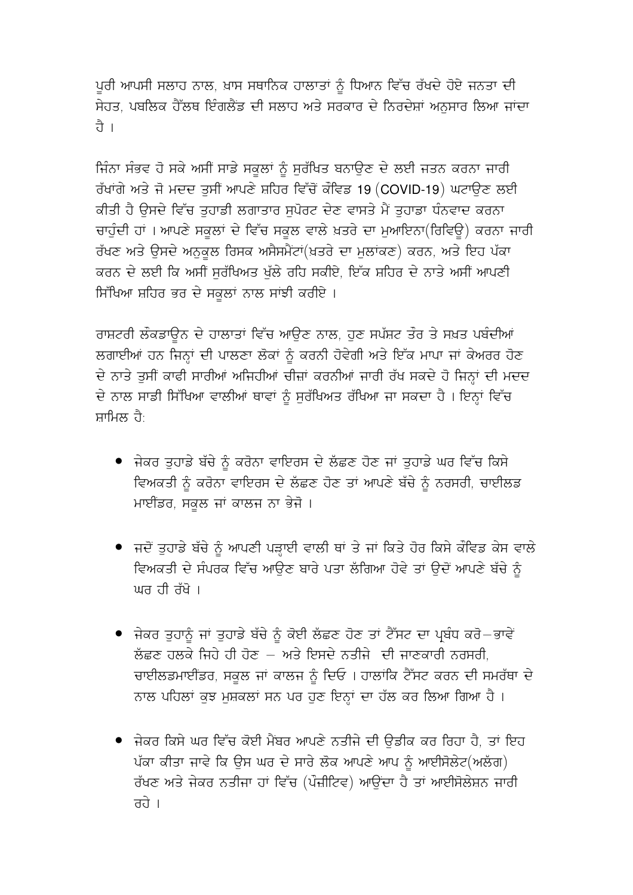ਪੂਰੀ ਆਪਸੀ ਸਲਾਹ ਨਾਲ, ਖ਼ਾਸ ਸਥਾਨਿਕ ਹਾਲਾਤਾਂ ਨੂੰ ਧਿਆਨ ਵਿੱਚ ਰੱਖਦੇ ਹੋਏ ਜਨਤਾ ਦੀ ਸੇਹਤ, ਪਬਲਿਕ ਹੈੱਲਥ ਇੰਗਲੈਂਡ ਦੀ ਸਲਾਹ ਅਤੇ ਸਰਕਾਰ ਦੇ ਨਿਰਦੇਸ਼ਾਂ ਅਨਸਾਰ ਲਿਆ ਜਾਂਦਾ ਹੈ ।

ਜਿੰਨਾ ਸੰਭਵ ਹੋ ਸਕੇ ਅਸੀਂ ਸਾਡੇ ਸਕੂਲਾਂ ਨੂੰ ਸੁਰੱਖਿਤ ਬਨਾਉਣ ਦੇ ਲਈ ਜਤਨ ਕਰਨਾ ਜਾਰੀ ਰੱਖਾਂਗੇ ਅਤੇ ਜੋ ਮਦਦ ਤੁਸੀਂ ਆਪਣੇ ਸ਼ਹਿਰ ਵਿੱਚੋਂ ਕੌਵਿਡ 19 (COVID-19) ਘਟਾਉਣ ਲਈ ਕੀਤੀ ਹੈ ਉਸਦੇ ਵਿੱਚ ਤਹਾਡੀ ਲਗਾਤਾਰ ਸਪੋਰਟ ਦੇਣ ਵਾਸਤੇ ਮੈਂ ਤਹਾਡਾ ਧੰਨਵਾਦ ਕਰਨਾ ਚਾਹੁੰਦੀ ਹਾਂ । ਆਪਣੇ ਸਕੂਲਾਂ ਦੇ ਵਿੱਚ ਸਕੂਲ ਵਾਲੇ ਖ਼ਤਰੇ ਦਾ ਮੁਆਇਨਾ(ਰਿਵਿਊ) ਕਰਨਾ ਜਾਰੀ ਰੱਖਣ ਅਤੇ ਉਸਦੇ ਅਨਕਲ ਰਿਸਕ ਅਸੈਸਮੈਂਟਾਂ(ਖ਼ਤਰੇ ਦਾ ਮਲਾਂਕਣ) ਕਰਨ, ਅਤੇ ਇਹ ਪੱਕਾ ਕਰਨ ਦੇ ਲਈ ਕਿ ਅਸੀਂ ਸੁਰੱਖਿਅਤ ਖੁੱਲੇ ਰਹਿ ਸਕੀਏ, ਇੱਕ ਸ਼ਹਿਰ ਦੇ ਨਾਤੇ ਅਸੀਂ ਆਪਣੀ ਸਿੱਖਿਆ ਸ਼ਹਿਰ ਭਰ ਦੇ ਸਕੂਲਾਂ ਨਾਲ ਸਾਂਝੀ ਕਰੀਏ ।

ਰਾਸ਼ਟਰੀ ਲੌਕਡਾਊਨ ਦੇ ਹਾਲਾਤਾਂ ਵਿੱਚ ਆਉਣ ਨਾਲ, ਹੁਣ ਸਪੱਸ਼ਟ ਤੌਰ ਤੇ ਸਖ਼ਤ ਪਬੰਦੀਆਂ ਲਗਾਈਆਂ ਹਨ ਜਿਨ੍ਹਾਂ ਦੀ ਪਾਲਣਾ ਲੋਕਾਂ ਨੂੰ ਕਰਨੀ ਹੋਵੇਗੀ ਅਤੇ ਇੱਕ ਮਾਪਾ ਜਾਂ ਕੇਅਰਰ ਹੋਣ ਦੇ ਨਾਤੇ ਤੁਸੀਂ ਕਾਫੀ ਸਾਰੀਆਂ ਅਜਿਹੀਆਂ ਚੀਜ਼ਾਂ ਕਰਨੀਆਂ ਜਾਰੀ ਰੱਖ ਸਕਦੇ ਹੋ ਜਿਨ੍ਹਾਂ ਦੀ ਮਦਦ ਦੇ ਨਾਲ ਸਾਡੀ ਸਿੱਖਿਆ ਵਾਲੀਆਂ ਥਾਵਾਂ ਨੰ ਸਰੱਖਿਅਤ ਰੱਖਿਆ ਜਾ ਸਕਦਾ ਹੈ । ਇਨ੍ਹਾਂ ਵਿੱਚ ਸਾਮਿਲ ਹੈ<sup>.</sup>

- ਜੇਕਰ ਤੁਹਾਡੇ ਬੱਚੇ ਨੂੰ ਕਰੋਨਾ ਵਾਇਰਸ ਦੇ ਲੱਛਣ ਹੋਣ ਜਾਂ ਤੁਹਾਡੇ ਘਰ ਵਿੱਚ ਕਿਸੇ ਵਿਅਕਤੀ ਨੂੰ ਕਰੋਨਾ ਵਾਇਰਸ ਦੇ ਲੱਛਣ ਹੋਣ ਤਾਂ ਆਪਣੇ ਬੱਚੇ ਨੂੰ ਨਰਸਰੀ, ਚਾਈਲਡ ਮਾਈਂਡਰ, ਸਕਲ ਜਾਂ ਕਾਲਜ ਨਾ ਭੇਜੋ ।
- ਜਦੋਂ ਤੁਹਾਡੇ ਬੱਚੇ ਨੂੰ ਆਪਣੀ ਪੜ੍ਹਾਈ ਵਾਲੀ ਥਾਂ ਤੇ ਜਾਂ ਕਿਤੇ ਹੋਰ ਕਿਸੇ ਕੌਵਿਡ ਕੇਸ ਵਾਲੇ ਵਿਅਕਤੀ ਦੇ ਸੰਪਰਕ ਵਿੱਚ ਆਉਣ ਬਾਰੇ ਪਤਾ ਲੱਗਿਆ ਹੋਵੇ ਤਾਂ ਉਦੋਂ ਆਪਣੇ ਬੱਚੇ ਨੂੰ ਘਰ ਹੀ ਰੱਖੋ ।
- ਜੇਕਰ ਤਹਾਨੂੰ ਜਾਂ ਤਹਾਡੇ ਬੱਚੇ ਨੂੰ ਕੋਈ ਲੱਛਣ ਹੋਣ ਤਾਂ ਟੈੱਸਟ ਦਾ ਪਬੰਧ ਕਰੋ−ਭਾਵੇਂ ਲੱਛਣ ਹਲਕੇ ਜਿਹੇ ਹੀ ਹੋਣ – ਅਤੇ ਇਸਦੇ ਨਤੀਜੇ ਦੀ ਜਾਣਕਾਰੀ ਨਰਸਰੀ, ਚਾਈਲਡਮਾਈਂਡਰ, ਸਕਲ ਜਾਂ ਕਾਲਜ ਨੂੰ ਦਿਓ । ਹਾਲਾਂਕਿ ਟੈੱਸਟ ਕਰਨ ਦੀ ਸਮਰੱਥਾ ਦੇ ਨਾਲ ਪਹਿਲਾਂ ਕੁਝ ਮਸ਼ਕਲਾਂ ਸਨ ਪਰ ਹੁਣ ਇਨ੍ਹਾਂ ਦਾ ਹੱਲ ਕਰ ਲਿਆ ਗਿਆ ਹੈ ।
- ਜੇਕਰ ਕਿਸੇ ਘਰ ਵਿੱਚ ਕੋਈ ਮੈਂਬਰ ਆਪਣੇ ਨਤੀਜੇ ਦੀ ਉਡੀਕ ਕਰ ਰਿਹਾ ਹੈ, ਤਾਂ ਇਹ ਪੱਕਾ ਕੀਤਾ ਜਾਵੇ ਕਿ ਉਸ ਘਰ ਦੇ ਸਾਰੇ ਲੋਕ ਆਪਣੇ ਆਪ ਨੂੰ ਆਈਸੋਲੇਟ(ਅਲੱਗ) ਰੱਖਣ ਅਤੇ ਜੇਕਰ ਨਤੀਜਾ ਹਾਂ ਵਿੱਚ (ਪੌਜ਼ੀਟਿਵ) ਆਉਂਦਾ ਹੈ ਤਾਂ ਆਈਸੋਲੇਸ਼ਨ ਜਾਰੀ तते ।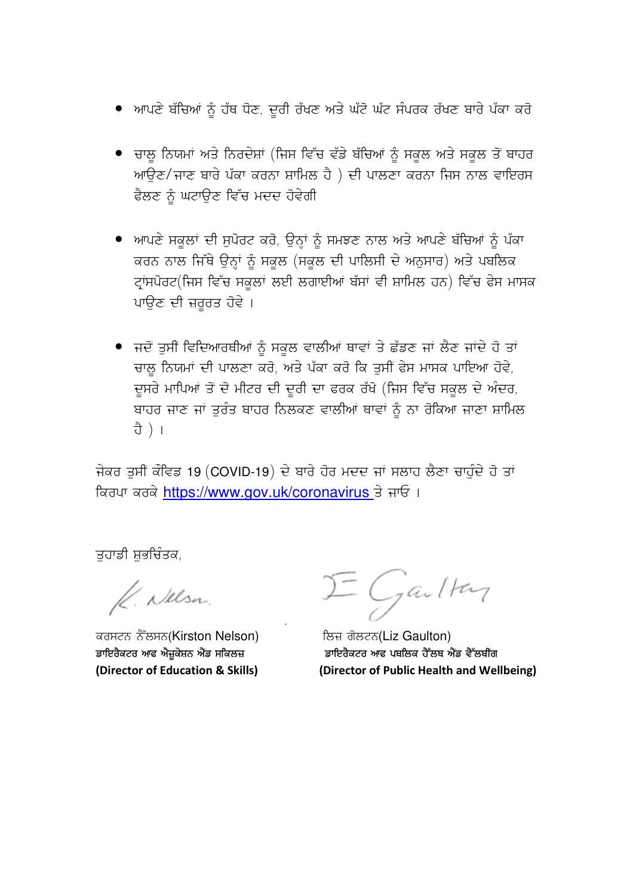- ਆਪਣੇ ਬੱਚਿਆਂ ਨੂੰ ਹੱਥ ਧੋਣ, ਦੂਰੀ ਰੱਖਣ ਅਤੇ ਘੱਟੋ ਘੱਟ ਸੰਪਰਕ ਰੱਖਣ ਬਾਰੇ ਪੱਕਾ ਕਰੋ
- ਚਾਲੂ ਨਿਯਮਾਂ ਅਤੇ ਨਿਰਦੇਸ਼ਾਂ (ਜਿਸ ਵਿੱਚ ਵੱਡੇ ਬੱਚਿਆਂ ਨੂੰ ਸਕੂਲ ਅਤੇ ਸਕੂਲ ਤੋਂ ਬਾਹਰ ਆਉਣ/ਜਾਣ ਬਾਰੇ ਪੱਕਾ ਕਰਨਾ ਸ਼ਾਮਿਲ ਹੈ ) ਦੀ ਪਾਲਣਾ ਕਰਨਾ ਜਿਸ ਨਾਲ ਵਾਇਰਸ ਫੈਲਣ ਨੂੰ ਘਟਾਉਣ ਵਿੱਚ ਮਦਦ ਹੋਵੇਗੀ
- ਆਪਣੇ ਸਕੂਲਾਂ ਦੀ ਸੁਪੋਰਟ ਕਰੋ, ਉਨ੍ਹਾਂ ਨੂੰ ਸਮਝਣ ਨਾਲ ਅਤੇ ਆਪਣੇ ਬੱਚਿਆਂ ਨੂੰ ਪੱਕਾ ਕਰਨ ਨਾਲ ਜਿੱਥੇ ਉਨ੍ਹਾਂ ਨੂੰ ਸਕੂਲ (ਸਕੂਲ ਦੀ ਪਾਲਿਸੀ ਦੇ ਅਨੁਸਾਰ) ਅਤੇ ਪਬਲਿਕ ਟ੍ਰਾਂਸਪੋਰਟ(ਜਿਸ ਵਿੱਚ ਸਕੂਲਾਂ ਲਈ ਲਗਾਈਆਂ ਬੱਸਾਂ ਵੀ ਸ਼ਾਮਿਲ ਹਨ) ਵਿੱਚ ਫੇਸ ਮਾਸਕ ਪਾਉਣ ਦੀ ਜ਼ਰੂਰਤ ਹੋਵੇ ।
- ਜਦੋਂ ਤੁਸੀਂ ਵਿਦਿਆਰਥੀਆਂ ਨੂੰ ਸਕੂਲ ਵਾਲੀਆਂ ਥਾਵਾਂ ਤੇ ਛੱਡਣ ਜਾਂ ਲੈਣ ਜਾਂਦੇ ਹੋ ਤਾਂ ਚਾਲ ਨਿਯਮਾਂ ਦੀ ਪਾਲਣਾ ਕਰੋ, ਅਤੇ ਪੱਕਾ ਕਰੋ ਕਿ ਤੁਸੀਂ ਫੇਸ ਮਾਸਕ ਪਾਇਆ ਹੋਵੇ, ਦੂਸਰੇ ਮਾਪਿਆਂ ਤੋਂ ਦੋ ਮੀਟਰ ਦੀ ਦੂਰੀ ਦਾ ਫਰਕ ਰੱਖੋ (ਜਿਸ ਵਿੱਚ ਸਕੂਲ ਦੇ ਅੰਦਰ, ਬਾਹਰ ਜਾਣ ਜਾਂ ਤੁਰੰਤ ਬਾਹਰ ਨਿਲਕਣ ਵਾਲੀਆਂ ਥਾਵਾਂ ਨੂੰ ਨਾ ਰੋਕਿਆ ਜਾਣਾ ਸ਼ਾਮਿਲ ਹੈ ) ।

ਜੇਕਰ ਤੁਸੀਂ ਕੌਵਿਡ 19 (COVID-19) ਦੇ ਬਾਰੇ ਹੋਰ ਮਦਦ ਜਾਂ ਸਲਾਹ ਲੈਣਾ ਚਾਹੁੰਦੇ ਹੋ ਤਾਂ ਕਿਰਪਾ ਕਰਕੇ https://www.gov.uk/coronavirus ਤੇ ਜਾਓ ।

ਤਹਾਡੀ ਸ਼ਭਚਿੰਤਕ,

K. Nelson

ਕਰਸਟਨ ਨੈੱਲਸਨ(Kirston Nelson) ਡਾਇਰੈਕਟਰ ਆਫ ਐਜ਼ੂਕੇਸ਼ਨ ਐਂਡ ਸਕਿਲਜ਼ (Director of Education & Skills)

 $\Sigma$  Gailton

ਲਿਜ਼ ਗੋਲਟਨ(Liz Gaulton) ਡਾਇਰੈਕਟਰ ਆਫ ਪਬਲਿਕ ਹੈੱਲਥ ਐਂਡ ਵੈੱਲਬੀਂਗ (Director of Public Health and Wellbeing)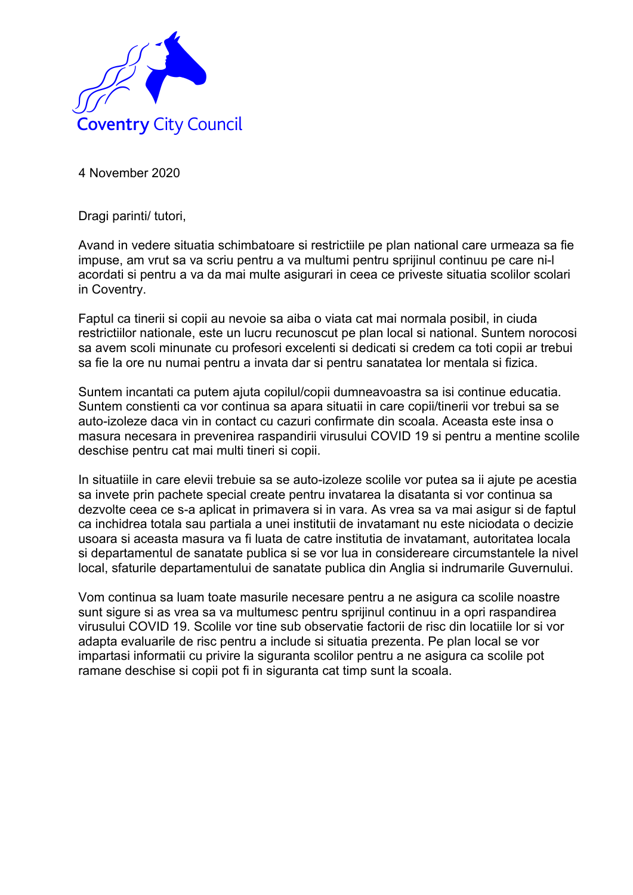

Dragi parinti/ tutori,

Avand in vedere situatia schimbatoare si restrictiile pe plan national care urmeaza sa fie impuse, am vrut sa va scriu pentru a va multumi pentru sprijinul continuu pe care ni-l acordati si pentru a va da mai multe asigurari in ceea ce priveste situatia scolilor scolari in Coventry.

Faptul ca tinerii si copii au nevoie sa aiba o viata cat mai normala posibil, in ciuda restrictiilor nationale, este un lucru recunoscut pe plan local si national. Suntem norocosi sa avem scoli minunate cu profesori excelenti si dedicati si credem ca toti copii ar trebui sa fie la ore nu numai pentru a invata dar si pentru sanatatea lor mentala si fizica.

Suntem incantati ca putem ajuta copilul/copii dumneavoastra sa isi continue educatia. Suntem constienti ca vor continua sa apara situatii in care copii/tinerii vor trebui sa se auto-izoleze daca vin in contact cu cazuri confirmate din scoala. Aceasta este insa o masura necesara in prevenirea raspandirii virusului COVID 19 si pentru a mentine scolile deschise pentru cat mai multi tineri si copii.

In situatiile in care elevii trebuie sa se auto-izoleze scolile vor putea sa ii ajute pe acestia sa invete prin pachete special create pentru invatarea la disatanta si vor continua sa dezvolte ceea ce s-a aplicat in primavera si in vara. As vrea sa va mai asigur si de faptul ca inchidrea totala sau partiala a unei institutii de invatamant nu este niciodata o decizie usoara si aceasta masura va fi luata de catre institutia de invatamant, autoritatea locala si departamentul de sanatate publica si se vor lua in considereare circumstantele la nivel local, sfaturile departamentului de sanatate publica din Anglia si indrumarile Guvernului.

Vom continua sa luam toate masurile necesare pentru a ne asigura ca scolile noastre sunt sigure si as vrea sa va multumesc pentru sprijinul continuu in a opri raspandirea virusului COVID 19. Scolile vor tine sub observatie factorii de risc din locatiile lor si vor adapta evaluarile de risc pentru a include si situatia prezenta. Pe plan local se vor impartasi informatii cu privire la siguranta scolilor pentru a ne asigura ca scolile pot ramane deschise si copii pot fi in siguranta cat timp sunt la scoala.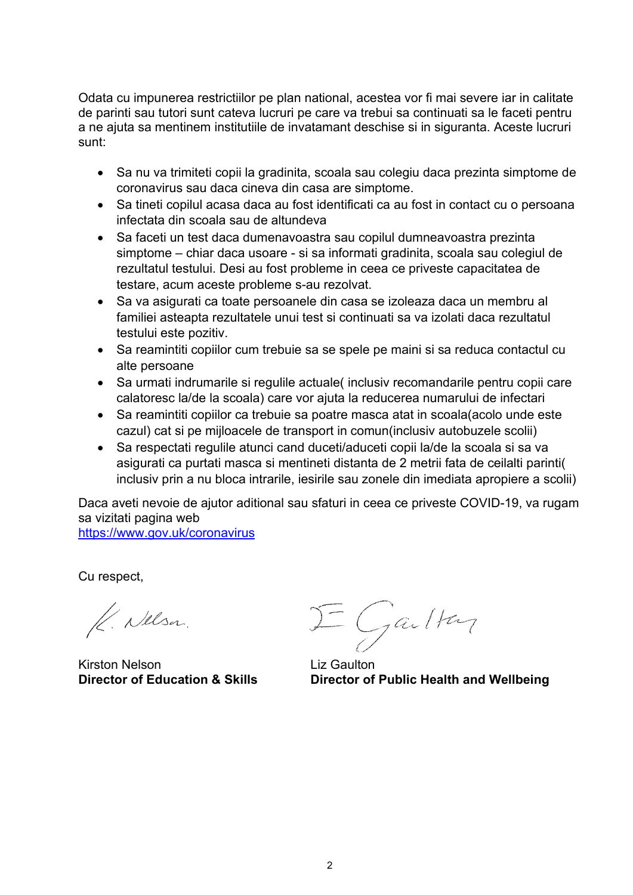Odata cu impunerea restrictiilor pe plan national, acestea vor fi mai severe iar in calitate de parinti sau tutori sunt cateva lucruri pe care va trebui sa continuati sa le faceti pentru a ne ajuta sa mentinem institutiile de invatamant deschise si in siguranta. Aceste lucruri sunt:

- Sa nu va trimiteti copii la gradinita, scoala sau colegiu daca prezinta simptome de coronavirus sau daca cineva din casa are simptome.
- Sa tineti copilul acasa daca au fost identificati ca au fost in contact cu o persoana infectata din scoala sau de altundeva
- Sa faceti un test daca dumenavoastra sau copilul dumneavoastra prezinta simptome – chiar daca usoare - si sa informati gradinita, scoala sau colegiul de rezultatul testului. Desi au fost probleme in ceea ce priveste capacitatea de testare, acum aceste probleme s-au rezolvat.
- Sa va asigurati ca toate persoanele din casa se izoleaza daca un membru al familiei asteapta rezultatele unui test si continuati sa va izolati daca rezultatul testului este pozitiv.
- Sa reamintiti copiilor cum trebuie sa se spele pe maini si sa reduca contactul cu alte persoane
- Sa urmati indrumarile si regulile actuale( inclusiv recomandarile pentru copii care calatoresc la/de la scoala) care vor ajuta la reducerea numarului de infectari
- Sa reamintiti copiilor ca trebuie sa poatre masca atat in scoala(acolo unde este cazul) cat si pe mijloacele de transport in comun(inclusiv autobuzele scolii)
- Sa respectati regulile atunci cand duceti/aduceti copii la/de la scoala si sa va asigurati ca purtati masca si mentineti distanta de 2 metrii fata de ceilalti parinti( inclusiv prin a nu bloca intrarile, iesirile sau zonele din imediata apropiere a scolii)

Daca aveti nevoie de ajutor aditional sau sfaturi in ceea ce priveste COVID-19, va rugam sa vizitati pagina web

https://www.gov.uk/coronavirus

Cu respect,

K. Nelsa.

Kirston Nelson Liz Gaulton

 $\Sigma$  Gailton

**Director of Education & Skills Director of Public Health and Wellbeing**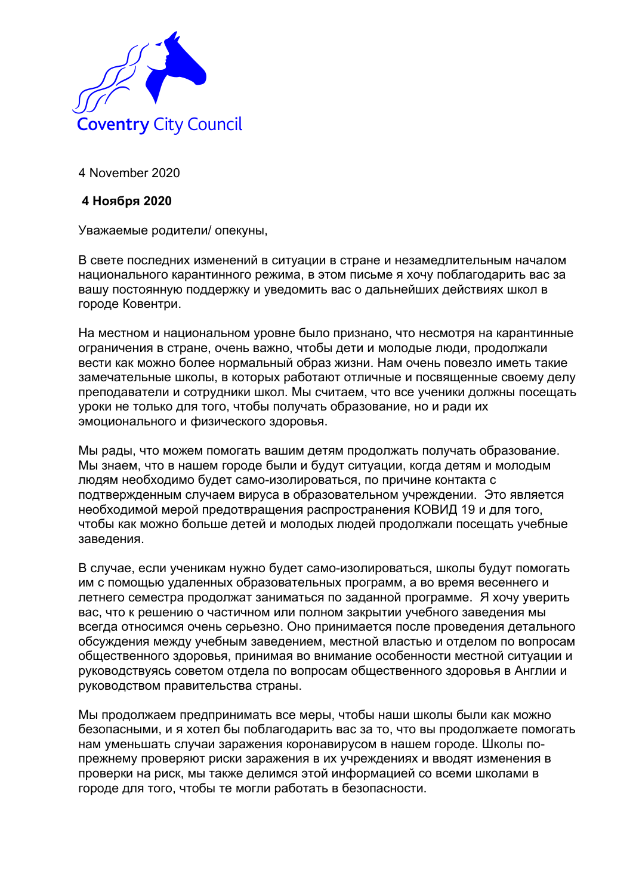

## **4 Ноября 2020**

Уважаемые родители/ опекуны,

В свете последних изменений в ситуации в стране и незамедлительным началом национального карантинного режима, в этом письме я хочу поблагодарить вас за вашу постоянную поддержку и уведомить вас о дальнейших действиях школ в городе Ковентри.

На местном и национальном уровне было признано, что несмотря на карантинные ограничения в стране, очень важно, чтобы дети и молодые люди, продолжали вести как можно более нормальный образ жизни. Нам очень повезло иметь такие замечательные школы, в которых работают отличные и посвященные своему делу преподаватели и сотрудники школ. Мы считаем, что все ученики должны посещать уроки не только для того, чтобы получать образование, но и ради их эмоционального и физического здоровья.

Мы рады, что можем помогать вашим детям продолжать получать образование. Мы знаем, что в нашем городе были и будут ситуации, когда детям и молодым людям необходимо будет само-изолироваться, по причине контакта с подтвержденным случаем вируса в образовательном учреждении. Это является необходимой мерой предотвращения распространения КОВИД 19 и для того, чтобы как можно больше детей и молодых людей продолжали посещать учебные заведения.

В случае, если ученикам нужно будет само-изолироваться, школы будут помогать им с помощью удаленных образовательных программ, а во время весеннего и летнего семестра продолжат заниматься по заданной программе. Я хочу уверить вас, что к решению о частичном или полном закрытии учебного заведения мы всегда относимся очень серьезно. Оно принимается после проведения детального обсуждения между учебным заведением, местной властью и отделом по вопросам общественного здоровья, принимая во внимание особенности местной ситуации и руководствуясь советом отдела по вопросам общественного здоровья в Англии и руководством правительства страны.

Мы продолжаем предпринимать все меры, чтобы наши школы были как можно безопасными, и я хотел бы поблагодарить вас за то, что вы продолжаете помогать нам уменьшать случаи заражения коронавирусом в нашем городе. Школы попрежнему проверяют риски заражения в их учреждениях и вводят изменения в проверки на риск, мы также делимся этой информацией со всеми школами в городе для того, чтобы те могли работать в безопасности.